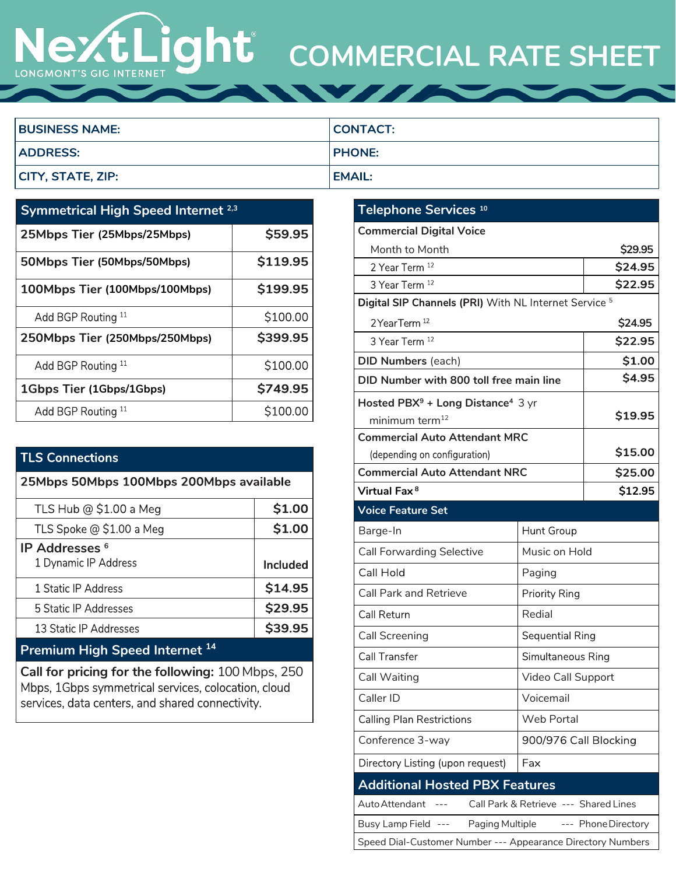# **COMMERCIAL RATE SHEET** LONGMONT'S GIG INTERNET

| <b>BUSINESS NAME:</b> | CONTACT:      |
|-----------------------|---------------|
| <b>ADDRESS:</b>       | <b>PHONE:</b> |
| CITY, STATE, ZIP:     | <b>EMAIL:</b> |

| <b>Symmetrical High Speed Internet 2,3</b> |          |  |
|--------------------------------------------|----------|--|
| 25Mbps Tier (25Mbps/25Mbps)                | \$59.95  |  |
| 50Mbps Tier (50Mbps/50Mbps)                | \$119.95 |  |
| 100Mbps Tier (100Mbps/100Mbps)             | \$199.95 |  |
| Add BGP Routing 11                         | \$100.00 |  |
| 250Mbps Tier (250Mbps/250Mbps)             | \$399.95 |  |
| Add BGP Routing 11                         | \$100.00 |  |
| 1Gbps Tier (1Gbps/1Gbps)                   | \$749.95 |  |
| Add BGP Routing 11                         | \$100.00 |  |

## **TLS Connections**

| 25Mbps 50Mbps 100Mbps 200Mbps available                  |          |  |
|----------------------------------------------------------|----------|--|
| TLS Hub @ \$1.00 a Meg                                   | \$1.00   |  |
| TLS Spoke @ \$1.00 a Meg                                 | \$1.00   |  |
| <b>IP Addresses</b> <sup>6</sup><br>1 Dynamic IP Address | Included |  |
| 1 Static IP Address                                      | \$14.95  |  |
| 5 Static IP Addresses                                    | \$29.95  |  |
| 13 Static IP Addresses                                   | S39.95   |  |

## **Premium High Speed Internet <sup>14</sup>**

**Call for pricing for the following:** 100 Mbps, 250 Mbps, 1Gbps symmetrical services, colocation, cloud services, data centers, and shared connectivity.

| Telephone Services <sup>10</sup>                                 |                        |         |  |
|------------------------------------------------------------------|------------------------|---------|--|
| <b>Commercial Digital Voice</b>                                  |                        |         |  |
| Month to Month                                                   |                        | \$29.95 |  |
| 2 Year Term <sup>12</sup>                                        |                        | \$24.95 |  |
| 3 Year Term <sup>12</sup>                                        |                        | \$22.95 |  |
| Digital SIP Channels (PRI) With NL Internet Service <sup>5</sup> |                        |         |  |
| 2YearTerm <sup>12</sup>                                          |                        | \$24.95 |  |
| 3 Year Term <sup>12</sup>                                        |                        | \$22.95 |  |
| <b>DID Numbers (each)</b>                                        |                        | \$1.00  |  |
| DID Number with 800 toll free main line                          |                        | \$4.95  |  |
| Hosted PBX <sup>9</sup> + Long Distance <sup>4</sup> 3 yr        |                        |         |  |
| minimum term <sup>12</sup>                                       |                        | \$19.95 |  |
| <b>Commercial Auto Attendant MRC</b>                             |                        |         |  |
| (depending on configuration)                                     |                        | \$15.00 |  |
| <b>Commercial Auto Attendant NRC</b>                             |                        | \$25.00 |  |
| Virtual Fax <sup>8</sup>                                         |                        | \$12.95 |  |
| <b>Voice Feature Set</b>                                         |                        |         |  |
| Barge-In                                                         | <b>Hunt Group</b>      |         |  |
| <b>Call Forwarding Selective</b>                                 | Music on Hold          |         |  |
| Call Hold                                                        | Paging                 |         |  |
| <b>Call Park and Retrieve</b>                                    | <b>Priority Ring</b>   |         |  |
| Call Return                                                      | Redial                 |         |  |
| <b>Call Screening</b>                                            | <b>Sequential Ring</b> |         |  |
| Call Transfer                                                    | Simultaneous Ring      |         |  |
| Call Waiting                                                     | Video Call Support     |         |  |
| Caller ID                                                        | Voicemail              |         |  |
| <b>Calling Plan Restrictions</b>                                 | <b>Web Portal</b>      |         |  |
| Conference 3-way                                                 | 900/976 Call Blocking  |         |  |
| Directory Listing (upon request)                                 | Fax                    |         |  |
| <b>Additional Hosted PBX Features</b>                            |                        |         |  |
| Auto Attendant<br>Call Park & Retrieve --- Shared Lines          |                        |         |  |
| Paging Multiple<br>--- Phone Directory<br>Busy Lamp Field ---    |                        |         |  |
| Speed Dial-Customer Number --- Appearance Directory Numbers      |                        |         |  |